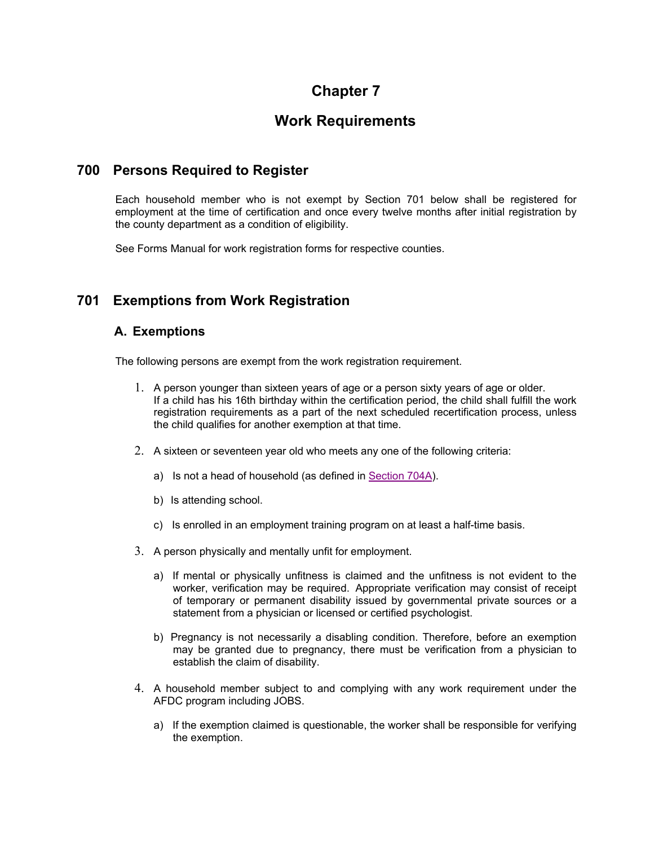# **Chapter 7**

# **Work Requirements**

# **700 Persons Required to Register**

Each household member who is not exempt by Section 701 below shall be registered for employment at the time of certification and once every twelve months after initial registration by the county department as a condition of eligibility.

See Forms Manual for work registration forms for respective counties.

# **701 Exemptions from Work Registration**

# **A. Exemptions**

The following persons are exempt from the work registration requirement.

- 1. A person younger than sixteen years of age or a person sixty years of age or older. If a child has his 16th birthday within the certification period, the child shall fulfill the work registration requirements as a part of the next scheduled recertification process, unless the child qualifies for another exemption at that time.
- 2. A sixteen or seventeen year old who meets any one of the following criteria:
	- a) Is not a head of household (as defined in Section 704A).
	- b) Is attending school.
	- c) Is enrolled in an employment training program on at least a half-time basis.
- 3. A person physically and mentally unfit for employment.
	- a) If mental or physically unfitness is claimed and the unfitness is not evident to the worker, verification may be required. Appropriate verification may consist of receipt of temporary or permanent disability issued by governmental private sources or a statement from a physician or licensed or certified psychologist.
	- b) Pregnancy is not necessarily a disabling condition. Therefore, before an exemption may be granted due to pregnancy, there must be verification from a physician to establish the claim of disability.
- 4. A household member subject to and complying with any work requirement under the AFDC program including JOBS.
	- a) If the exemption claimed is questionable, the worker shall be responsible for verifying the exemption.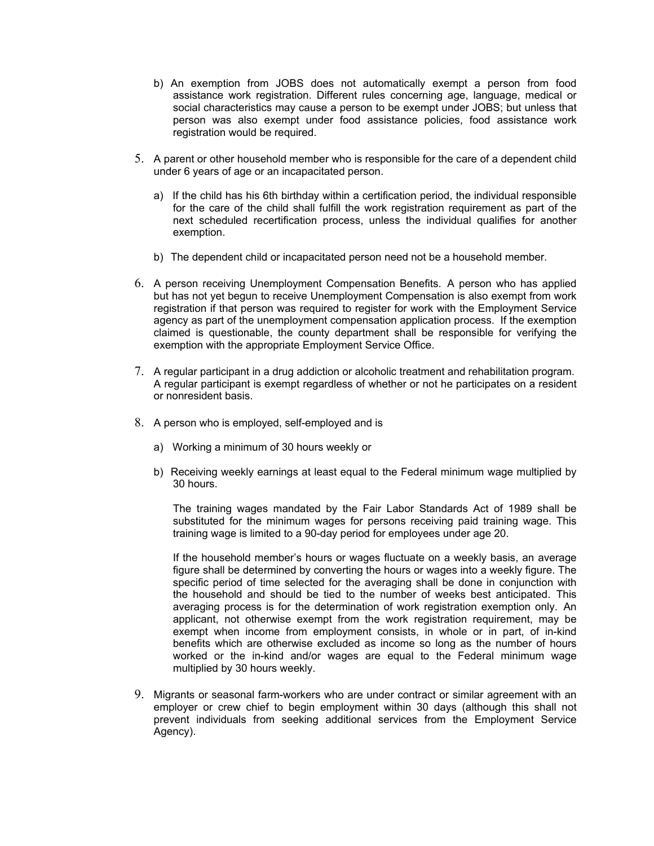- b) An exemption from JOBS does not automatically exempt a person from food assistance work registration. Different rules concerning age, language, medical or social characteristics may cause a person to be exempt under JOBS; but unless that person was also exempt under food assistance policies, food assistance work registration would be required.
- 5. A parent or other household member who is responsible for the care of a dependent child under 6 years of age or an incapacitated person.
	- a) If the child has his 6th birthday within a certification period, the individual responsible for the care of the child shall fulfill the work registration requirement as part of the next scheduled recertification process, unless the individual qualifies for another exemption.
	- b) The dependent child or incapacitated person need not be a household member.
- 6. A person receiving Unemployment Compensation Benefits. A person who has applied but has not yet begun to receive Unemployment Compensation is also exempt from work registration if that person was required to register for work with the Employment Service agency as part of the unemployment compensation application process. If the exemption claimed is questionable, the county department shall be responsible for verifying the exemption with the appropriate Employment Service Office.
- 7. A regular participant in a drug addiction or alcoholic treatment and rehabilitation program. A regular participant is exempt regardless of whether or not he participates on a resident or nonresident basis.
- 8. A person who is employed, self-employed and is
	- a) Working a minimum of 30 hours weekly or
	- b) Receiving weekly earnings at least equal to the Federal minimum wage multiplied by 30 hours.

The training wages mandated by the Fair Labor Standards Act of 1989 shall be substituted for the minimum wages for persons receiving paid training wage. This training wage is limited to a 90-day period for employees under age 20.

If the household member's hours or wages fluctuate on a weekly basis, an average figure shall be determined by converting the hours or wages into a weekly figure. The specific period of time selected for the averaging shall be done in conjunction with the household and should be tied to the number of weeks best anticipated. This averaging process is for the determination of work registration exemption only. An applicant, not otherwise exempt from the work registration requirement, may be exempt when income from employment consists, in whole or in part, of in-kind benefits which are otherwise excluded as income so long as the number of hours worked or the in-kind and/or wages are equal to the Federal minimum wage multiplied by 30 hours weekly.

9. Migrants or seasonal farm-workers who are under contract or similar agreement with an employer or crew chief to begin employment within 30 days (although this shall not prevent individuals from seeking additional services from the Employment Service Agency).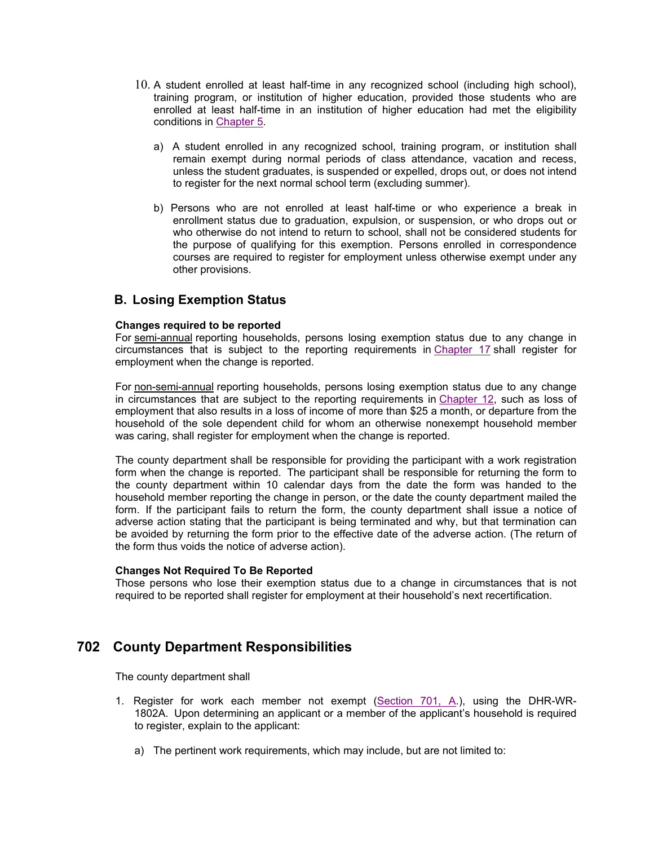- 10. A student enrolled at least half-time in any recognized school (including high school), training program, or institution of higher education, provided those students who are enrolled at least half-time in an institution of higher education had met the eligibility conditions in Chapter 5.
	- a) A student enrolled in any recognized school, training program, or institution shall remain exempt during normal periods of class attendance, vacation and recess, unless the student graduates, is suspended or expelled, drops out, or does not intend to register for the next normal school term (excluding summer).
	- b) Persons who are not enrolled at least half-time or who experience a break in enrollment status due to graduation, expulsion, or suspension, or who drops out or who otherwise do not intend to return to school, shall not be considered students for the purpose of qualifying for this exemption. Persons enrolled in correspondence courses are required to register for employment unless otherwise exempt under any other provisions.

## **B. Losing Exemption Status**

#### **Changes required to be reported**

For semi-annual reporting households, persons losing exemption status due to any change in circumstances that is subject to the reporting requirements in Chapter 17 shall register for employment when the change is reported.

For non-semi-annual reporting households, persons losing exemption status due to any change in circumstances that are subject to the reporting requirements in Chapter 12, such as loss of employment that also results in a loss of income of more than \$25 a month, or departure from the household of the sole dependent child for whom an otherwise nonexempt household member was caring, shall register for employment when the change is reported.

The county department shall be responsible for providing the participant with a work registration form when the change is reported. The participant shall be responsible for returning the form to the county department within 10 calendar days from the date the form was handed to the household member reporting the change in person, or the date the county department mailed the form. If the participant fails to return the form, the county department shall issue a notice of adverse action stating that the participant is being terminated and why, but that termination can be avoided by returning the form prior to the effective date of the adverse action. (The return of the form thus voids the notice of adverse action).

#### **Changes Not Required To Be Reported**

Those persons who lose their exemption status due to a change in circumstances that is not required to be reported shall register for employment at their household's next recertification.

# **702 County Department Responsibilities**

The county department shall

- 1. Register for work each member not exempt (Section 701, A.), using the DHR-WR-1802A. Upon determining an applicant or a member of the applicant's household is required to register, explain to the applicant:
	- a) The pertinent work requirements, which may include, but are not limited to: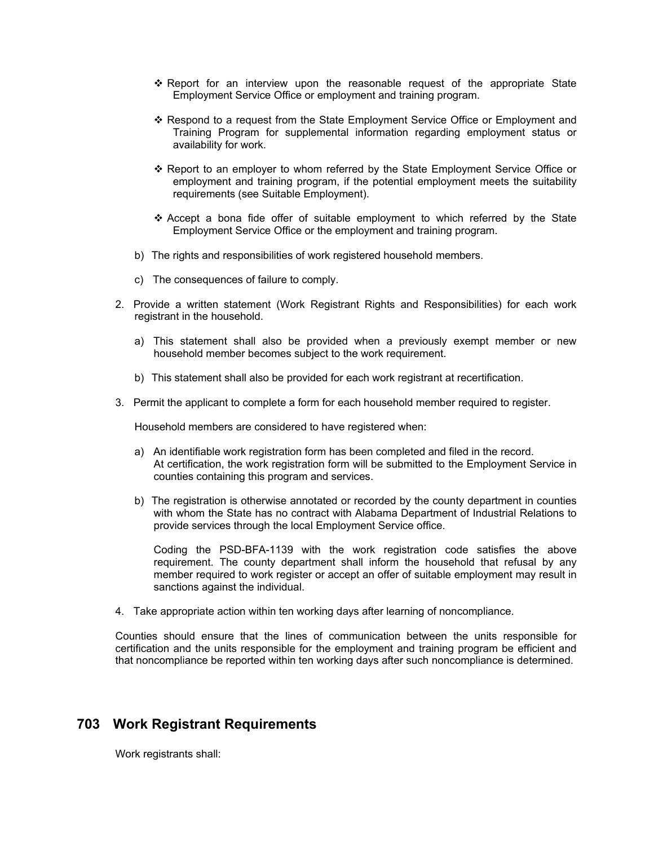- Report for an interview upon the reasonable request of the appropriate State Employment Service Office or employment and training program.
- Respond to a request from the State Employment Service Office or Employment and Training Program for supplemental information regarding employment status or availability for work.
- Report to an employer to whom referred by the State Employment Service Office or employment and training program, if the potential employment meets the suitability requirements (see Suitable Employment).
- Accept a bona fide offer of suitable employment to which referred by the State Employment Service Office or the employment and training program.
- b) The rights and responsibilities of work registered household members.
- c) The consequences of failure to comply.
- 2. Provide a written statement (Work Registrant Rights and Responsibilities) for each work registrant in the household.
	- a) This statement shall also be provided when a previously exempt member or new household member becomes subject to the work requirement.
	- b) This statement shall also be provided for each work registrant at recertification.
- 3. Permit the applicant to complete a form for each household member required to register.

Household members are considered to have registered when:

- a) An identifiable work registration form has been completed and filed in the record. At certification, the work registration form will be submitted to the Employment Service in counties containing this program and services.
- b) The registration is otherwise annotated or recorded by the county department in counties with whom the State has no contract with Alabama Department of Industrial Relations to provide services through the local Employment Service office.

Coding the PSD-BFA-1139 with the work registration code satisfies the above requirement. The county department shall inform the household that refusal by any member required to work register or accept an offer of suitable employment may result in sanctions against the individual.

4. Take appropriate action within ten working days after learning of noncompliance.

Counties should ensure that the lines of communication between the units responsible for certification and the units responsible for the employment and training program be efficient and that noncompliance be reported within ten working days after such noncompliance is determined.

# **703 Work Registrant Requirements**

Work registrants shall: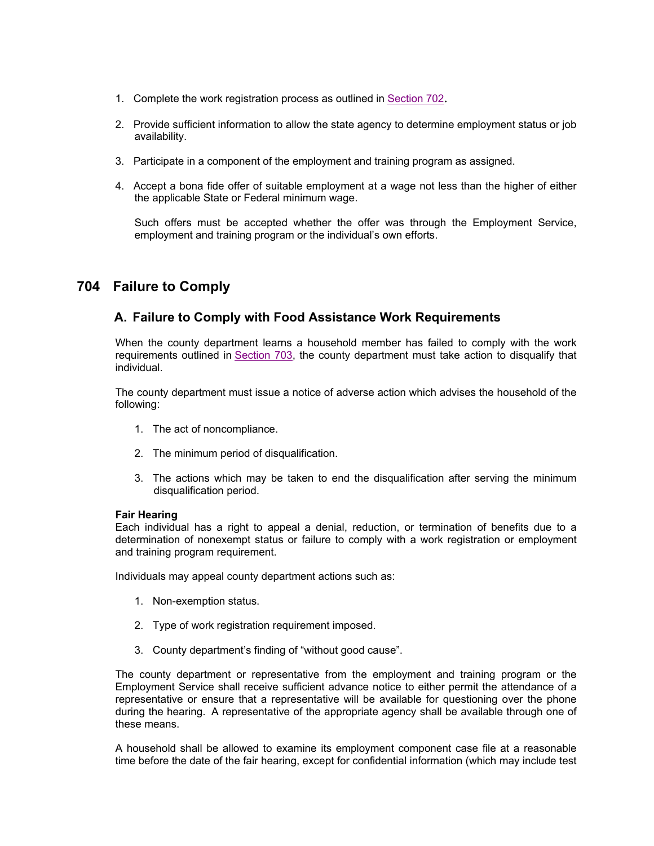- 1. Complete the work registration process as outlined in Section 702.
- 2. Provide sufficient information to allow the state agency to determine employment status or job availability.
- 3. Participate in a component of the employment and training program as assigned.
- 4. Accept a bona fide offer of suitable employment at a wage not less than the higher of either the applicable State or Federal minimum wage.

Such offers must be accepted whether the offer was through the Employment Service, employment and training program or the individual's own efforts.

# **704 Failure to Comply**

# **A. Failure to Comply with Food Assistance Work Requirements**

When the county department learns a household member has failed to comply with the work requirements outlined in Section 703, the county department must take action to disqualify that individual.

The county department must issue a notice of adverse action which advises the household of the following:

- 1. The act of noncompliance.
- 2. The minimum period of disqualification.
- 3. The actions which may be taken to end the disqualification after serving the minimum disqualification period.

#### **Fair Hearing**

Each individual has a right to appeal a denial, reduction, or termination of benefits due to a determination of nonexempt status or failure to comply with a work registration or employment and training program requirement.

Individuals may appeal county department actions such as:

- 1. Non-exemption status.
- 2. Type of work registration requirement imposed.
- 3. County department's finding of "without good cause".

The county department or representative from the employment and training program or the Employment Service shall receive sufficient advance notice to either permit the attendance of a representative or ensure that a representative will be available for questioning over the phone during the hearing. A representative of the appropriate agency shall be available through one of these means.

A household shall be allowed to examine its employment component case file at a reasonable time before the date of the fair hearing, except for confidential information (which may include test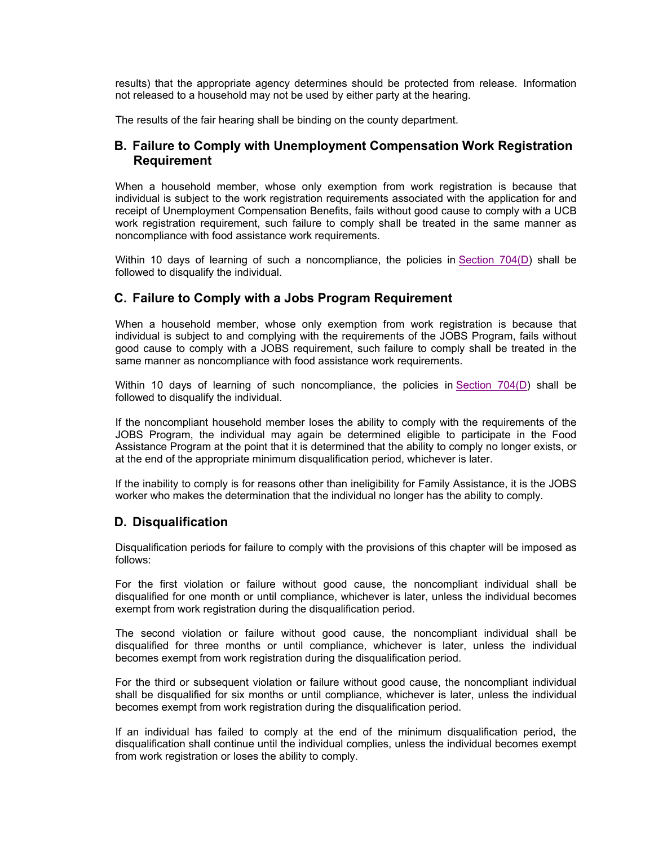results) that the appropriate agency determines should be protected from release. Information not released to a household may not be used by either party at the hearing.

The results of the fair hearing shall be binding on the county department.

## **B. Failure to Comply with Unemployment Compensation Work Registration Requirement**

When a household member, whose only exemption from work registration is because that individual is subject to the work registration requirements associated with the application for and receipt of Unemployment Compensation Benefits, fails without good cause to comply with a UCB work registration requirement, such failure to comply shall be treated in the same manner as noncompliance with food assistance work requirements.

Within 10 days of learning of such a noncompliance, the policies in Section 704(D) shall be followed to disqualify the individual.

## **C. Failure to Comply with a Jobs Program Requirement**

When a household member, whose only exemption from work registration is because that individual is subject to and complying with the requirements of the JOBS Program, fails without good cause to comply with a JOBS requirement, such failure to comply shall be treated in the same manner as noncompliance with food assistance work requirements.

Within 10 days of learning of such noncompliance, the policies in Section 704(D) shall be followed to disqualify the individual.

If the noncompliant household member loses the ability to comply with the requirements of the JOBS Program, the individual may again be determined eligible to participate in the Food Assistance Program at the point that it is determined that the ability to comply no longer exists, or at the end of the appropriate minimum disqualification period, whichever is later.

If the inability to comply is for reasons other than ineligibility for Family Assistance, it is the JOBS worker who makes the determination that the individual no longer has the ability to comply.

## **D. Disqualification**

Disqualification periods for failure to comply with the provisions of this chapter will be imposed as follows:

For the first violation or failure without good cause, the noncompliant individual shall be disqualified for one month or until compliance, whichever is later, unless the individual becomes exempt from work registration during the disqualification period.

The second violation or failure without good cause, the noncompliant individual shall be disqualified for three months or until compliance, whichever is later, unless the individual becomes exempt from work registration during the disqualification period.

For the third or subsequent violation or failure without good cause, the noncompliant individual shall be disqualified for six months or until compliance, whichever is later, unless the individual becomes exempt from work registration during the disqualification period.

If an individual has failed to comply at the end of the minimum disqualification period, the disqualification shall continue until the individual complies, unless the individual becomes exempt from work registration or loses the ability to comply.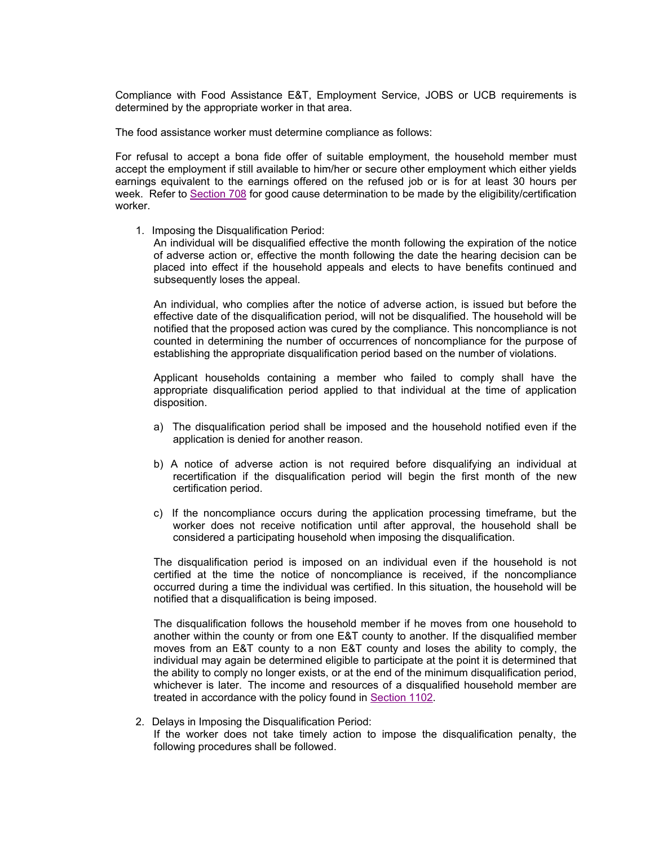Compliance with Food Assistance E&T, Employment Service, JOBS or UCB requirements is determined by the appropriate worker in that area.

The food assistance worker must determine compliance as follows:

For refusal to accept a bona fide offer of suitable employment, the household member must accept the employment if still available to him/her or secure other employment which either yields earnings equivalent to the earnings offered on the refused job or is for at least 30 hours per week. Refer to Section 708 for good cause determination to be made by the eligibility/certification worker.

1. Imposing the Disqualification Period:

An individual will be disqualified effective the month following the expiration of the notice of adverse action or, effective the month following the date the hearing decision can be placed into effect if the household appeals and elects to have benefits continued and subsequently loses the appeal.

An individual, who complies after the notice of adverse action, is issued but before the effective date of the disqualification period, will not be disqualified. The household will be notified that the proposed action was cured by the compliance. This noncompliance is not counted in determining the number of occurrences of noncompliance for the purpose of establishing the appropriate disqualification period based on the number of violations.

Applicant households containing a member who failed to comply shall have the appropriate disqualification period applied to that individual at the time of application disposition.

- a) The disqualification period shall be imposed and the household notified even if the application is denied for another reason.
- b) A notice of adverse action is not required before disqualifying an individual at recertification if the disqualification period will begin the first month of the new certification period.
- c) If the noncompliance occurs during the application processing timeframe, but the worker does not receive notification until after approval, the household shall be considered a participating household when imposing the disqualification.

The disqualification period is imposed on an individual even if the household is not certified at the time the notice of noncompliance is received, if the noncompliance occurred during a time the individual was certified. In this situation, the household will be notified that a disqualification is being imposed.

The disqualification follows the household member if he moves from one household to another within the county or from one E&T county to another. If the disqualified member moves from an E&T county to a non E&T county and loses the ability to comply, the individual may again be determined eligible to participate at the point it is determined that the ability to comply no longer exists, or at the end of the minimum disqualification period, whichever is later. The income and resources of a disqualified household member are treated in accordance with the policy found in Section 1102.

2. Delays in Imposing the Disqualification Period: If the worker does not take timely action to impose the disqualification penalty, the following procedures shall be followed.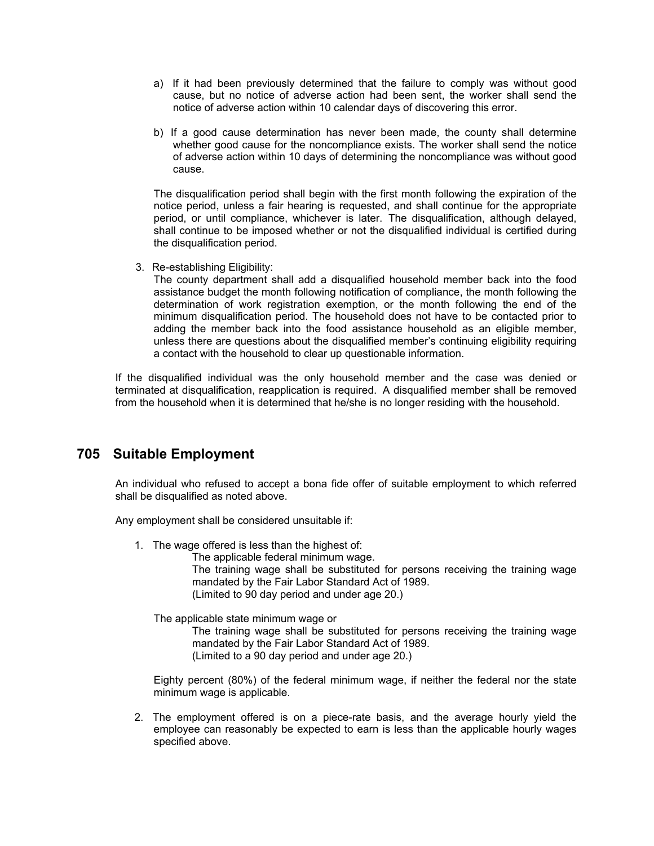- a) If it had been previously determined that the failure to comply was without good cause, but no notice of adverse action had been sent, the worker shall send the notice of adverse action within 10 calendar days of discovering this error.
- b) If a good cause determination has never been made, the county shall determine whether good cause for the noncompliance exists. The worker shall send the notice of adverse action within 10 days of determining the noncompliance was without good cause.

The disqualification period shall begin with the first month following the expiration of the notice period, unless a fair hearing is requested, and shall continue for the appropriate period, or until compliance, whichever is later. The disqualification, although delayed, shall continue to be imposed whether or not the disqualified individual is certified during the disqualification period.

3. Re-establishing Eligibility:

The county department shall add a disqualified household member back into the food assistance budget the month following notification of compliance, the month following the determination of work registration exemption, or the month following the end of the minimum disqualification period. The household does not have to be contacted prior to adding the member back into the food assistance household as an eligible member, unless there are questions about the disqualified member's continuing eligibility requiring a contact with the household to clear up questionable information.

If the disqualified individual was the only household member and the case was denied or terminated at disqualification, reapplication is required. A disqualified member shall be removed from the household when it is determined that he/she is no longer residing with the household.

# **705 Suitable Employment**

An individual who refused to accept a bona fide offer of suitable employment to which referred shall be disqualified as noted above.

Any employment shall be considered unsuitable if:

1. The wage offered is less than the highest of:

The applicable federal minimum wage.

The training wage shall be substituted for persons receiving the training wage mandated by the Fair Labor Standard Act of 1989.

(Limited to 90 day period and under age 20.)

The applicable state minimum wage or

The training wage shall be substituted for persons receiving the training wage mandated by the Fair Labor Standard Act of 1989. (Limited to a 90 day period and under age 20.)

Eighty percent (80%) of the federal minimum wage, if neither the federal nor the state minimum wage is applicable.

2. The employment offered is on a piece-rate basis, and the average hourly yield the employee can reasonably be expected to earn is less than the applicable hourly wages specified above.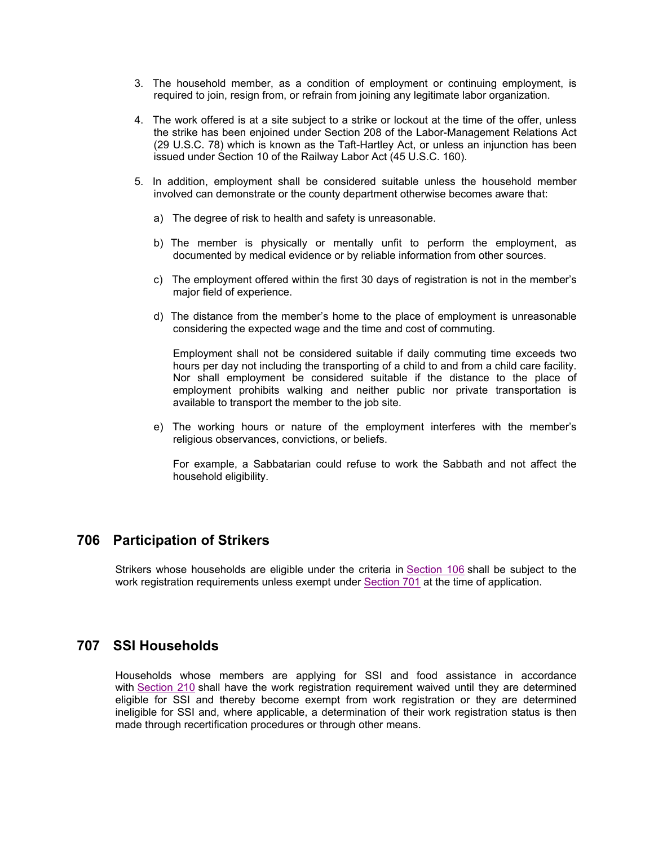- 3. The household member, as a condition of employment or continuing employment, is required to join, resign from, or refrain from joining any legitimate labor organization.
- 4. The work offered is at a site subject to a strike or lockout at the time of the offer, unless the strike has been enjoined under Section 208 of the Labor-Management Relations Act (29 U.S.C. 78) which is known as the Taft-Hartley Act, or unless an injunction has been issued under Section 10 of the Railway Labor Act (45 U.S.C. 160).
- 5. In addition, employment shall be considered suitable unless the household member involved can demonstrate or the county department otherwise becomes aware that:
	- a) The degree of risk to health and safety is unreasonable.
	- b) The member is physically or mentally unfit to perform the employment, as documented by medical evidence or by reliable information from other sources.
	- c) The employment offered within the first 30 days of registration is not in the member's major field of experience.
	- d) The distance from the member's home to the place of employment is unreasonable considering the expected wage and the time and cost of commuting.

Employment shall not be considered suitable if daily commuting time exceeds two hours per day not including the transporting of a child to and from a child care facility. Nor shall employment be considered suitable if the distance to the place of employment prohibits walking and neither public nor private transportation is available to transport the member to the job site.

e) The working hours or nature of the employment interferes with the member's religious observances, convictions, or beliefs.

For example, a Sabbatarian could refuse to work the Sabbath and not affect the household eligibility.

## **706 Participation of Strikers**

Strikers whose households are eligible under the criteria in Section 106 shall be subject to the work registration requirements unless exempt under Section 701 at the time of application.

### **707 SSI Households**

Households whose members are applying for SSI and food assistance in accordance with Section 210 shall have the work registration requirement waived until they are determined eligible for SSI and thereby become exempt from work registration or they are determined ineligible for SSI and, where applicable, a determination of their work registration status is then made through recertification procedures or through other means.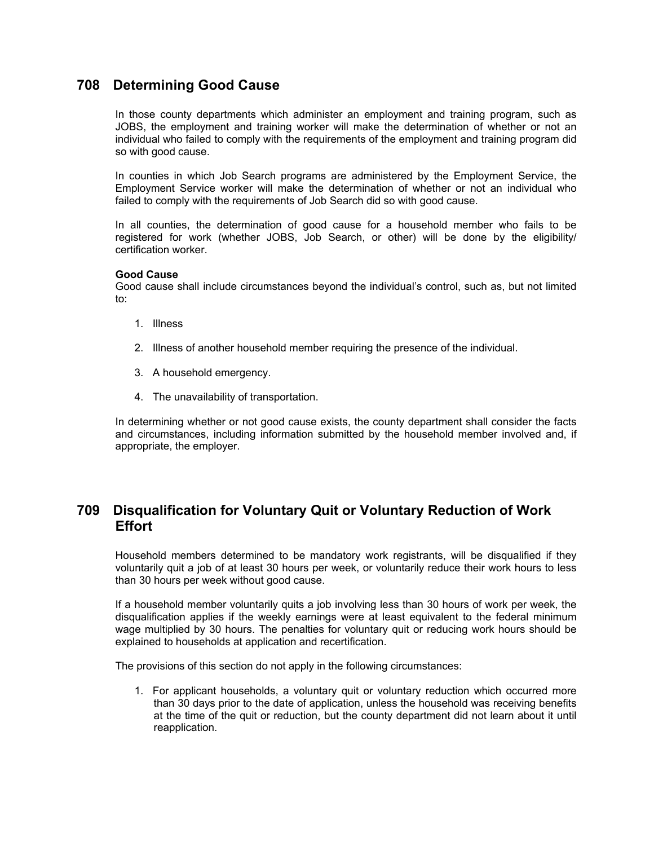# **708 Determining Good Cause**

In those county departments which administer an employment and training program, such as JOBS, the employment and training worker will make the determination of whether or not an individual who failed to comply with the requirements of the employment and training program did so with good cause.

In counties in which Job Search programs are administered by the Employment Service, the Employment Service worker will make the determination of whether or not an individual who failed to comply with the requirements of Job Search did so with good cause.

In all counties, the determination of good cause for a household member who fails to be registered for work (whether JOBS, Job Search, or other) will be done by the eligibility/ certification worker.

### **Good Cause**

Good cause shall include circumstances beyond the individual's control, such as, but not limited to:

- 1. Illness
- 2. Illness of another household member requiring the presence of the individual.
- 3. A household emergency.
- 4. The unavailability of transportation.

In determining whether or not good cause exists, the county department shall consider the facts and circumstances, including information submitted by the household member involved and, if appropriate, the employer.

# **709 Disqualification for Voluntary Quit or Voluntary Reduction of Work Effort**

Household members determined to be mandatory work registrants, will be disqualified if they voluntarily quit a job of at least 30 hours per week, or voluntarily reduce their work hours to less than 30 hours per week without good cause.

If a household member voluntarily quits a job involving less than 30 hours of work per week, the disqualification applies if the weekly earnings were at least equivalent to the federal minimum wage multiplied by 30 hours. The penalties for voluntary quit or reducing work hours should be explained to households at application and recertification.

The provisions of this section do not apply in the following circumstances:

1. For applicant households, a voluntary quit or voluntary reduction which occurred more than 30 days prior to the date of application, unless the household was receiving benefits at the time of the quit or reduction, but the county department did not learn about it until reapplication.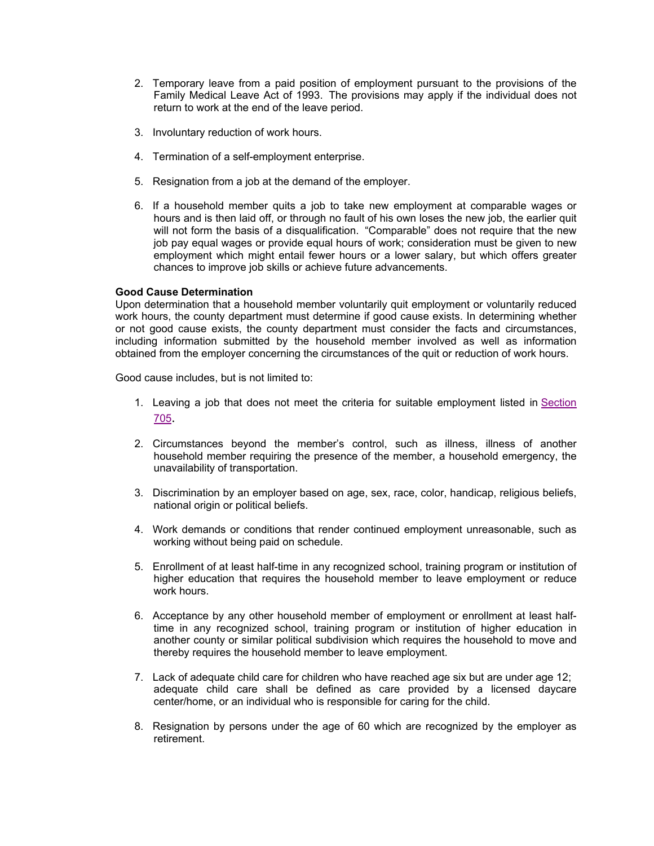- 2. Temporary leave from a paid position of employment pursuant to the provisions of the Family Medical Leave Act of 1993. The provisions may apply if the individual does not return to work at the end of the leave period.
- 3. Involuntary reduction of work hours.
- 4. Termination of a self-employment enterprise.
- 5. Resignation from a job at the demand of the employer.
- 6. If a household member quits a job to take new employment at comparable wages or hours and is then laid off, or through no fault of his own loses the new job, the earlier quit will not form the basis of a disqualification. "Comparable" does not require that the new job pay equal wages or provide equal hours of work; consideration must be given to new employment which might entail fewer hours or a lower salary, but which offers greater chances to improve job skills or achieve future advancements.

### **Good Cause Determination**

Upon determination that a household member voluntarily quit employment or voluntarily reduced work hours, the county department must determine if good cause exists. In determining whether or not good cause exists, the county department must consider the facts and circumstances, including information submitted by the household member involved as well as information obtained from the employer concerning the circumstances of the quit or reduction of work hours.

Good cause includes, but is not limited to:

- 1. Leaving a job that does not meet the criteria for suitable employment listed in Section 705.
- 2. Circumstances beyond the member's control, such as illness, illness of another household member requiring the presence of the member, a household emergency, the unavailability of transportation.
- 3. Discrimination by an employer based on age, sex, race, color, handicap, religious beliefs, national origin or political beliefs.
- 4. Work demands or conditions that render continued employment unreasonable, such as working without being paid on schedule.
- 5. Enrollment of at least half-time in any recognized school, training program or institution of higher education that requires the household member to leave employment or reduce work hours.
- 6. Acceptance by any other household member of employment or enrollment at least halftime in any recognized school, training program or institution of higher education in another county or similar political subdivision which requires the household to move and thereby requires the household member to leave employment.
- 7. Lack of adequate child care for children who have reached age six but are under age 12; adequate child care shall be defined as care provided by a licensed daycare center/home, or an individual who is responsible for caring for the child.
- 8. Resignation by persons under the age of 60 which are recognized by the employer as retirement.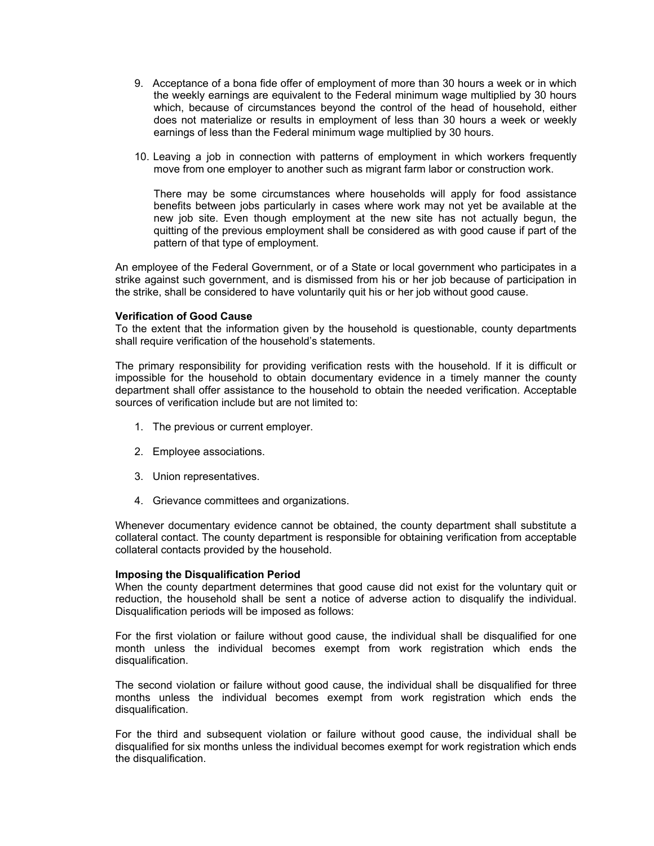- 9. Acceptance of a bona fide offer of employment of more than 30 hours a week or in which the weekly earnings are equivalent to the Federal minimum wage multiplied by 30 hours which, because of circumstances beyond the control of the head of household, either does not materialize or results in employment of less than 30 hours a week or weekly earnings of less than the Federal minimum wage multiplied by 30 hours.
- 10. Leaving a job in connection with patterns of employment in which workers frequently move from one employer to another such as migrant farm labor or construction work.

There may be some circumstances where households will apply for food assistance benefits between jobs particularly in cases where work may not yet be available at the new job site. Even though employment at the new site has not actually begun, the quitting of the previous employment shall be considered as with good cause if part of the pattern of that type of employment.

An employee of the Federal Government, or of a State or local government who participates in a strike against such government, and is dismissed from his or her job because of participation in the strike, shall be considered to have voluntarily quit his or her job without good cause.

#### **Verification of Good Cause**

To the extent that the information given by the household is questionable, county departments shall require verification of the household's statements.

The primary responsibility for providing verification rests with the household. If it is difficult or impossible for the household to obtain documentary evidence in a timely manner the county department shall offer assistance to the household to obtain the needed verification. Acceptable sources of verification include but are not limited to:

- 1. The previous or current employer.
- 2. Employee associations.
- 3. Union representatives.
- 4. Grievance committees and organizations.

Whenever documentary evidence cannot be obtained, the county department shall substitute a collateral contact. The county department is responsible for obtaining verification from acceptable collateral contacts provided by the household.

#### **Imposing the Disqualification Period**

When the county department determines that good cause did not exist for the voluntary quit or reduction, the household shall be sent a notice of adverse action to disqualify the individual. Disqualification periods will be imposed as follows:

For the first violation or failure without good cause, the individual shall be disqualified for one month unless the individual becomes exempt from work registration which ends the disqualification.

The second violation or failure without good cause, the individual shall be disqualified for three months unless the individual becomes exempt from work registration which ends the disqualification.

For the third and subsequent violation or failure without good cause, the individual shall be disqualified for six months unless the individual becomes exempt for work registration which ends the disqualification.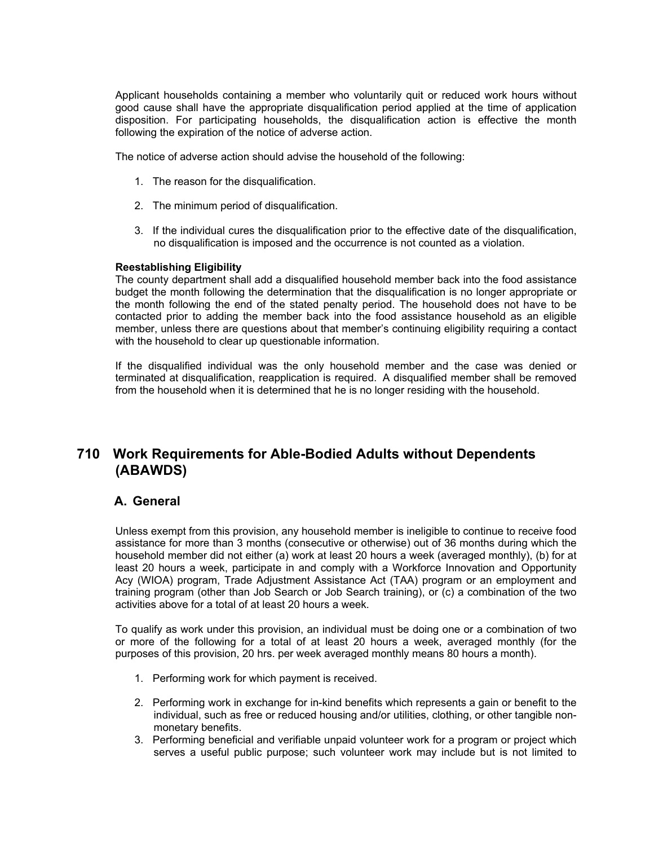Applicant households containing a member who voluntarily quit or reduced work hours without good cause shall have the appropriate disqualification period applied at the time of application disposition. For participating households, the disqualification action is effective the month following the expiration of the notice of adverse action.

The notice of adverse action should advise the household of the following:

- 1. The reason for the disqualification.
- 2. The minimum period of disqualification.
- 3. If the individual cures the disqualification prior to the effective date of the disqualification, no disqualification is imposed and the occurrence is not counted as a violation.

#### **Reestablishing Eligibility**

The county department shall add a disqualified household member back into the food assistance budget the month following the determination that the disqualification is no longer appropriate or the month following the end of the stated penalty period. The household does not have to be contacted prior to adding the member back into the food assistance household as an eligible member, unless there are questions about that member's continuing eligibility requiring a contact with the household to clear up questionable information.

If the disqualified individual was the only household member and the case was denied or terminated at disqualification, reapplication is required. A disqualified member shall be removed from the household when it is determined that he is no longer residing with the household.

# **710 Work Requirements for Able-Bodied Adults without Dependents (ABAWDS)**

### **A. General**

Unless exempt from this provision, any household member is ineligible to continue to receive food assistance for more than 3 months (consecutive or otherwise) out of 36 months during which the household member did not either (a) work at least 20 hours a week (averaged monthly), (b) for at least 20 hours a week, participate in and comply with a Workforce Innovation and Opportunity Acy (WIOA) program, Trade Adjustment Assistance Act (TAA) program or an employment and training program (other than Job Search or Job Search training), or (c) a combination of the two activities above for a total of at least 20 hours a week.

To qualify as work under this provision, an individual must be doing one or a combination of two or more of the following for a total of at least 20 hours a week, averaged monthly (for the purposes of this provision, 20 hrs. per week averaged monthly means 80 hours a month).

- 1. Performing work for which payment is received.
- 2. Performing work in exchange for in-kind benefits which represents a gain or benefit to the individual, such as free or reduced housing and/or utilities, clothing, or other tangible nonmonetary benefits.
- 3. Performing beneficial and verifiable unpaid volunteer work for a program or project which serves a useful public purpose; such volunteer work may include but is not limited to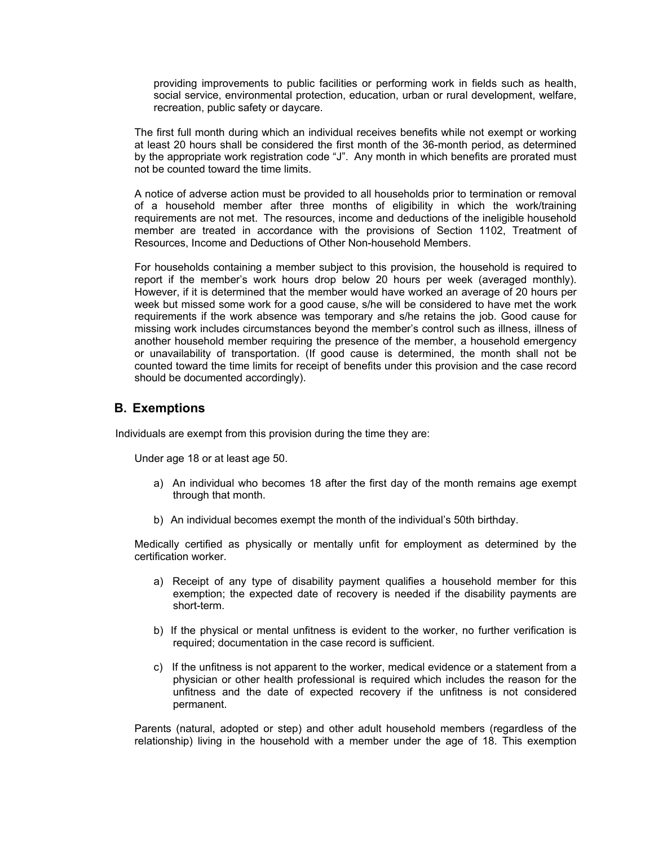providing improvements to public facilities or performing work in fields such as health, social service, environmental protection, education, urban or rural development, welfare, recreation, public safety or daycare.

The first full month during which an individual receives benefits while not exempt or working at least 20 hours shall be considered the first month of the 36-month period, as determined by the appropriate work registration code "J". Any month in which benefits are prorated must not be counted toward the time limits.

A notice of adverse action must be provided to all households prior to termination or removal of a household member after three months of eligibility in which the work/training requirements are not met. The resources, income and deductions of the ineligible household member are treated in accordance with the provisions of Section 1102, Treatment of Resources, Income and Deductions of Other Non-household Members.

For households containing a member subject to this provision, the household is required to report if the member's work hours drop below 20 hours per week (averaged monthly). However, if it is determined that the member would have worked an average of 20 hours per week but missed some work for a good cause, s/he will be considered to have met the work requirements if the work absence was temporary and s/he retains the job. Good cause for missing work includes circumstances beyond the member's control such as illness, illness of another household member requiring the presence of the member, a household emergency or unavailability of transportation. (If good cause is determined, the month shall not be counted toward the time limits for receipt of benefits under this provision and the case record should be documented accordingly).

### **B. Exemptions**

Individuals are exempt from this provision during the time they are:

Under age 18 or at least age 50.

- a) An individual who becomes 18 after the first day of the month remains age exempt through that month.
- b) An individual becomes exempt the month of the individual's 50th birthday.

Medically certified as physically or mentally unfit for employment as determined by the certification worker.

- a) Receipt of any type of disability payment qualifies a household member for this exemption; the expected date of recovery is needed if the disability payments are short-term.
- b) If the physical or mental unfitness is evident to the worker, no further verification is required; documentation in the case record is sufficient.
- c) If the unfitness is not apparent to the worker, medical evidence or a statement from a physician or other health professional is required which includes the reason for the unfitness and the date of expected recovery if the unfitness is not considered permanent.

Parents (natural, adopted or step) and other adult household members (regardless of the relationship) living in the household with a member under the age of 18. This exemption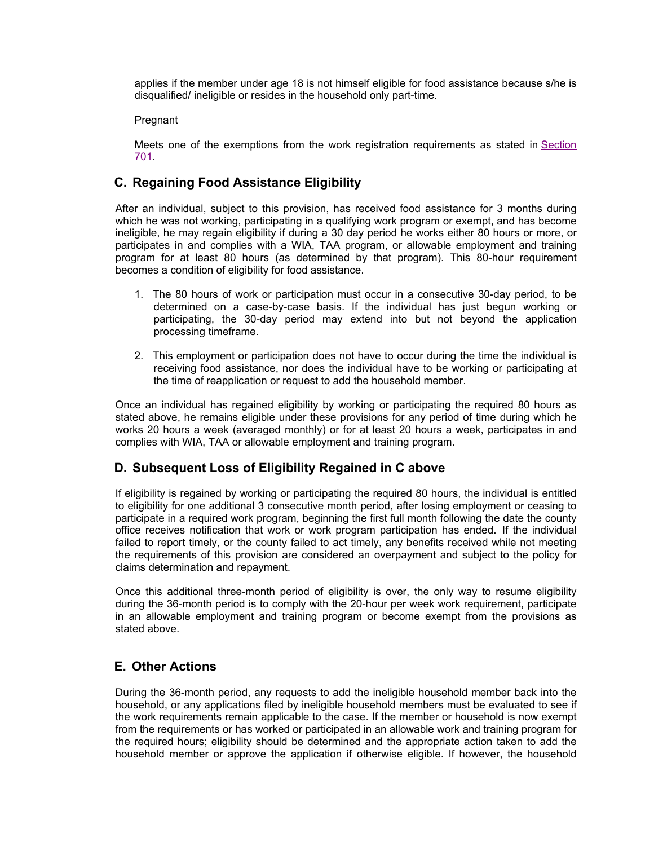applies if the member under age 18 is not himself eligible for food assistance because s/he is disqualified/ ineligible or resides in the household only part-time.

#### Pregnant

Meets one of the exemptions from the work registration requirements as stated in Section 701.

# **C. Regaining Food Assistance Eligibility**

After an individual, subject to this provision, has received food assistance for 3 months during which he was not working, participating in a qualifying work program or exempt, and has become ineligible, he may regain eligibility if during a 30 day period he works either 80 hours or more, or participates in and complies with a WIA, TAA program, or allowable employment and training program for at least 80 hours (as determined by that program). This 80-hour requirement becomes a condition of eligibility for food assistance.

- 1. The 80 hours of work or participation must occur in a consecutive 30-day period, to be determined on a case-by-case basis. If the individual has just begun working or participating, the 30-day period may extend into but not beyond the application processing timeframe.
- 2. This employment or participation does not have to occur during the time the individual is receiving food assistance, nor does the individual have to be working or participating at the time of reapplication or request to add the household member.

Once an individual has regained eligibility by working or participating the required 80 hours as stated above, he remains eligible under these provisions for any period of time during which he works 20 hours a week (averaged monthly) or for at least 20 hours a week, participates in and complies with WIA, TAA or allowable employment and training program.

# **D. Subsequent Loss of Eligibility Regained in C above**

If eligibility is regained by working or participating the required 80 hours, the individual is entitled to eligibility for one additional 3 consecutive month period, after losing employment or ceasing to participate in a required work program, beginning the first full month following the date the county office receives notification that work or work program participation has ended. If the individual failed to report timely, or the county failed to act timely, any benefits received while not meeting the requirements of this provision are considered an overpayment and subject to the policy for claims determination and repayment.

Once this additional three-month period of eligibility is over, the only way to resume eligibility during the 36-month period is to comply with the 20-hour per week work requirement, participate in an allowable employment and training program or become exempt from the provisions as stated above.

# **E. Other Actions**

During the 36-month period, any requests to add the ineligible household member back into the household, or any applications filed by ineligible household members must be evaluated to see if the work requirements remain applicable to the case. If the member or household is now exempt from the requirements or has worked or participated in an allowable work and training program for the required hours; eligibility should be determined and the appropriate action taken to add the household member or approve the application if otherwise eligible. If however, the household